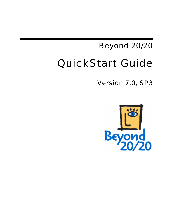# Beyond 20/20 QuickStart Guide

Version 7.0, SP3

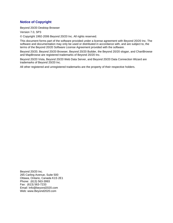### **Notice of Copyright**

Beyond 20/20 Desktop Browser

Version 7.0, SP3

© Copyright 1992-2006 Beyond 20/20 Inc. All rights reserved.

This document forms part of the software provided under a license agreement with Beyond 20/20 Inc. The software and documentation may only be used or distributed in accordance with, and are subject to, the terms of the Beyond 20/20 Software License Agreement provided with the software.

Beyond 20/20, Beyond 20/20 Browser, Beyond 20/20 Builder, the Beyond 20/20 slogan, and ChartBrowse and MapBrowse are registered trademarks of Beyond 20/20 Inc.

Beyond 20/20 Vista, Beyond 20/20 Web Data Server, and Beyond 20/20 Data Connection Wizard are trademarks of Beyond 20/20 Inc.

All other registered and unregistered trademarks are the property of their respective holders.

Beyond 20/20 Inc. 265 Carling Avenue, Suite 500 Ottawa, Ontario, Canada K1S 2E1 Phone: (613) 563-3993 Fax: (613) 563-7233 Email: Info@beyond2020.com Web: www.Beyond2020.com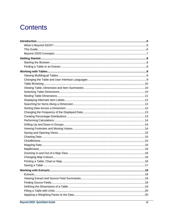# **Contents**

| . 17 |
|------|
|      |
|      |
|      |
|      |
|      |
|      |
|      |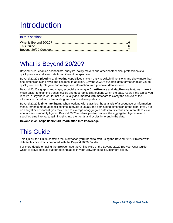# <span id="page-5-0"></span>**Introduction**

### In this section:

# <span id="page-5-1"></span>What is Beyond 20/20?

Beyond 20/20 enables economists, analysts, policy makers and other nontechnical professionals to quickly access and view data from different perspectives.

Beyond 20/20's **pivoting** and **nesting** capabilities make it easy to switch dimensions and show more than one dimension along rows and columns. In addition, Beyond 20/20's dynamic data format enables you to quickly and easily integrate and manipulate information from your own data sources.

Beyond 20/20's graphs and maps, especially its unique **ChartBrowse** and **MapBrowse** features, make it much easier to examine trends, cycles and geographic distributions within the data. As well, the tables you receive in Beyond 20/20 format are usually documented with metadata to clarify the context of the information for better understanding and statistical interpretation.

Beyond 20/20 is **time intelligent**. When working with statistics, the analysis of a sequence of information measurements made at specified time intervals is usually the dominating dimension of the data. If you are an analyst or economist, you may need to average or aggregate data into different time intervals to view annual versus monthly figures. Beyond 20/20 enables you to compare the aggregated figures over a specified time interval to gain insights into the trends and cycles inherent in the data.

**Beyond 20/20 helps users turn information into knowledge.**

# <span id="page-5-2"></span>This Guide

This QuickStart Guide contains the information you'll need to start using the Beyond 20/20 Browser with data tables or extracts prepared with the Beyond 20/20 Builder.

For more details on using the Browser, see the Online Help or the Beyond 20/20 Browser User Guide, which is provided in all supported languages in your Browser setup's Document folder.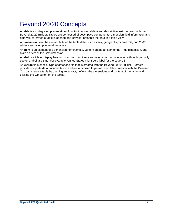## <span id="page-6-0"></span>Beyond 20/20 Concepts

A **table** is an integrated presentation of multi-dimensional data and descriptive text prepared with the Beyond 20/20 Builder. Tables are composed of descriptive components, dimension field information and data values. When a table is opened, the Browser presents the data in a table view.

A **dimension** describes an attribute of the table data, such as sex, geography, or time. Beyond 20/20 tables can have up to ten dimensions.

An **item** is an element of a dimension; for example, June might be an item of the Time dimension, and Male an item of the Sex dimension.

A **label** is a title or display heading of an item. An item can have more than one label, although you only see one label at a time. For example, United States might be a label for the code US.

An **extract** is a special type of database file that is created with the Beyond 20/20 Builder. Extracts provide complete data documentation and are optimized to permit rapid table creation with the Browser. You can create a table by opening an extract, defining the dimensions and content of the table, and clicking the **Go** button on the toolbar.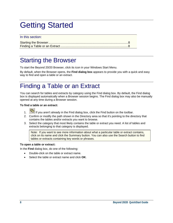# <span id="page-7-0"></span>Getting Started

#### In this section:

### <span id="page-7-1"></span>Starting the Browser

To start the Beyond 20/20 Browser, click its icon in your Windows Start Menu.

By default, when the Browser opens, the **Find dialog box** appears to provide you with a quick and easy way to find and open a table or an extract.

## <span id="page-7-2"></span>Finding a Table or an Extract

You can search for tables and extracts by category using the Find dialog box. By default, the Find dialog box is displayed automatically when a Browser session begins. The Find dialog box may also be manually opened at any time during a Browser session.

#### **To find a table or an extract:**

- 1.  $\boxed{\overline{\mathbb{G}}}$  If you aren't already in the Find dialog box, click the Find button on the toolbar.
- 2. Confirm or modify the path shown in the Directory area so that it's pointing to the directory that contains the tables and/or extracts you want to browse.
- 3. Select the category that most likely contains the table or extract you need. A list of tables and extracts belonging to that category is displayed.

Note: If you want to see more information about what a particular table or extract contains, click on its name and click the Summary button. You can also use the Search button to find tables or extracts containing key words or phrases.

#### **To open a table or extract:**

In the **Find** dialog box, do one of the following:

- Double-click on the table or extract name.
- Select the table or extract name and click **OK**.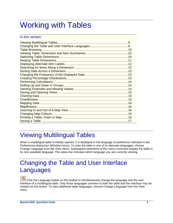# <span id="page-8-0"></span>Working with Tables

### In this section:

# <span id="page-8-1"></span>Viewing Multilingual Tables

When a multilingual table is initially opened, it is displayed in the language of preference indicated in the Preferences dialog box (Window menu). To view the table in one of its alternate languages, choose Change Language from the View menu. Subsequent selections of this menu command display the table in its next available language. The status bar indicates which language you are currently viewing.

## <span id="page-8-2"></span>Changing the Table and User Interface Languages

 Click the Language button on the toolbar to simultaneously change the language and the user interface of a multilingual table. Only those languages common to both the table and the interface may be viewed via this button. To view additional table languages, choose Change Language from the View menu.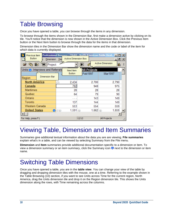# <span id="page-9-0"></span>Table Browsing

Once you have opened a table, you can browse through the items in any dimension.

To browse through the items shown in the Dimension Bar, first make a dimension active by clicking on its tile. You'll notice that the dimension is now shown in the Active Dimension Box. Click the Previous Item button or the Next Item button to browse through the data for the items in that dimension.

Dimension tiles in the Dimension Bar show the dimension name and the code or label of the item for which data is currently displayed.

| Previous Item<br><b>Button</b><br>Dimension          | Active Dimension Box<br>Iter    |                                | Professional Browser - [TAAH - North American Public Heal           X<br><u> - I리 지</u> |  |
|------------------------------------------------------|---------------------------------|--------------------------------|-----------------------------------------------------------------------------------------|--|
| ౚ<br>嗣<br>Project                                    |                                 |                                | Active Dimension<br>岴                                                                   |  |
| Units ( ): Interviews and Referrals<br>Dimension Bar | Next Item<br><b>Button</b>      | <b>All Projects</b><br>Feb1997 | Mar1997                                                                                 |  |
| Region<br><b>North America</b>                       | 2,434<br>(3)                    | 2,700                          | 2,790                                                                                   |  |
| Canada                                               | 782                             | 948                            | 975                                                                                     |  |
| <b>Maritimes</b>                                     | 28                              | 28                             | 28                                                                                      |  |
| Quebec                                               | 64                              | 79                             | 90                                                                                      |  |
| Ontario                                              |                                 | 143                            | 149                                                                                     |  |
| Toronto                                              | 137                             | 144                            | 149                                                                                     |  |
| Western Canada                                       | 553                             | 554                            | 559                                                                                     |  |
| <b>United States</b>                                 | $1,591$ (§)<br>$\bigcirc$ (2,§) | $1,662$ (§)                    | 1,659                                                                                   |  |
|                                                      |                                 |                                |                                                                                         |  |
| For Help, press F1                                   |                                 | 12/12                          | All Projects                                                                            |  |

# <span id="page-9-1"></span>Viewing Table, Dimension and Item Summaries

Summaries give additional textual information about the data you are are viewing. **File summaries** explain what's in a table, and can be viewed by selecting Summary from the File menu.

**Dimension** and **Item** summaries provide additional documentation specific to a dimension or item. To view a dimension summary or an item summary, click the Summary icon  $\bullet$  next to the dimension or item name.

# <span id="page-9-2"></span>Switching Table Dimensions

Once you have opened a table, you are in the **table view**. You can change your view of the table by dragging and dropping dimension tiles with the mouse, one at a time. Referring to the example shown in the Table Browsing ([10\)](#page-9-0) section, if you want to see Units across Time for the current region, North America, drag the Units dimension tile and drop it on the Region dimension tile. This shows the Units dimension along the rows, with Time remaining across the columns.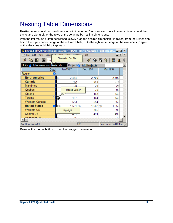# <span id="page-10-0"></span>Nesting Table Dimensions

**Nesting** means to show one dimension within another. You can view more than one dimension at the same time along either the rows or the columns by nesting dimensions.

With the left mouse button depressed, slowly drag the desired dimension tile (Units) from the Dimension bar to the top or bottom edge of the column labels, or to the right or left edge of the row labels (Region), until a thick line or highlight appears.

| <b>Beyond 20/20 Professional Browser - [IAAH - North American Public Healt <math>\Box</math> <math>\Box</math> X</b> |                           |                         |                        |       |
|----------------------------------------------------------------------------------------------------------------------|---------------------------|-------------------------|------------------------|-------|
| File Edit View Dimension Itom Data Window Help                                                                       |                           |                         |                        | _ 리 × |
| 削<br><b>Uni</b>                                                                                                      | <b>Dimension Bar Tile</b> |                         | 鼺<br>F<br>岫            |       |
| Units (b): Interviews and Referrals                                                                                  |                           | Project &: All Projects |                        |       |
| Date                                                                                                                 | Jan1997                   | Feb1997                 | Mar1997                |       |
| Region<br>я                                                                                                          |                           |                         |                        |       |
| <b>North America</b>                                                                                                 | 2,434<br>3)               | 2,700                   | 2,790                  |       |
| Canada                                                                                                               | 782                       | 948                     | 975                    |       |
| <b>Maritimes</b>                                                                                                     | 28                        | 28                      | 28                     |       |
| Quebec                                                                                                               | <b>Mouse Cursor</b>       | 79                      | 90                     |       |
| Ontario                                                                                                              | .                         | 143                     | 149                    |       |
| Toronto                                                                                                              | 137                       | 144                     | 149                    |       |
| Western Canada                                                                                                       | 553                       | 554                     | 559                    |       |
| <b>United States</b>                                                                                                 | $6$ Nsi<br>1.591 (s)      | $1,662$ (§)             | 1,659                  |       |
| Western US                                                                                                           | Highlight                 | 385                     | 390                    |       |
| <b>Central US</b>                                                                                                    | य ज<br>Ł.                 | 491                     | 499                    |       |
| Morthoget LIR                                                                                                        | 76                        | 70                      | 76                     |       |
| For Help, press F1                                                                                                   |                           | 2/2                     | Interviews and Referri |       |
|                                                                                                                      |                           |                         |                        |       |

Release the mouse button to nest the dragged dimension.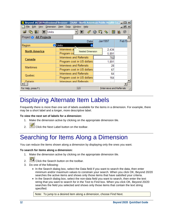| <b>Beyond 20/20 Professional Browser - [IAAH - North American Public Health Ca</b> 10 X |                             |                                 |                          |        |
|-----------------------------------------------------------------------------------------|-----------------------------|---------------------------------|--------------------------|--------|
| File Edit View Dimension Item Data Window Help                                          |                             |                                 |                          | 그리지    |
| $\mathfrak{G}$ point<br><b>E</b> Units                                                  |                             |                                 | 鼺<br>因<br>虛<br>ঞ্চ       | 0<br>岴 |
| Project &: All Projects                                                                 |                             |                                 |                          |        |
|                                                                                         |                             | Date                            | Jan1997                  | Feb19  |
| Region                                                                                  | <b><i><b></b></i></b> Units |                                 |                          |        |
| <b>North America</b>                                                                    | Interviews a                | <b>Nested Dimension</b>         | 2,434                    |        |
|                                                                                         | Program co                  |                                 | 5,891                    |        |
| Canada                                                                                  |                             | Interviews and Referrals        | 782                      |        |
|                                                                                         |                             | Program cost in US dollars      | 1,891                    |        |
| <b>Maritimes</b>                                                                        |                             | <b>Interviews and Referrals</b> | 28                       |        |
|                                                                                         |                             | Program cost in US dollars      | 67                       |        |
| Quebec                                                                                  |                             | Interviews and Referrals        | 64                       |        |
|                                                                                         |                             | Program cost in US dollars      | 164                      |        |
| Ontario                                                                                 |                             | Interviews and Referrals        |                          |        |
| For Help, press F1                                                                      |                             | 2/2                             | Interviews and Referrals |        |

### <span id="page-11-0"></span>Displaying Alternate Item Labels

Frequently there is more than one set of labels available for the items in a dimension. For example, there may be a short label and a longer, more descriptive label.

#### **To view the next set of labels for a dimension:**

- 1. Make the dimension active by clicking on the appropriate dimension tile.
- 2. Click the Next Label button on the toolbar.

### <span id="page-11-1"></span>Searching for Items Along a Dimension

You can reduce the items shown along a dimension by displaying only the ones you want.

#### **To search for items along a dimension:**

- 1. Make the dimension active by clicking on the appropriate dimension tile.
- 2. Click the Search button on the toolbar.
- 3. Do one of the following:
	- In the Search dialog box, select the Data field if you want to search the data, then enter minimum and/or maximum values to constrain your search. When you click OK, Beyond 20/20 searches the active items and shows only those items that have satisfied your criteria.
	- In the Search dialog box, select the non-data field you want to search, then enter the text string that you want to search for in the Text to Find box. When you click OK, Beyond 20/20 searches the field you selected and shows only those items that contain the text string specified.

Note: To jump to a desired item along a dimension, choose Find Next.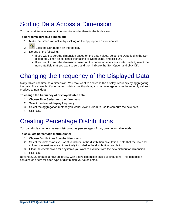### <span id="page-12-0"></span>Sorting Data Across a Dimension

You can sort items across a dimension to reorder them in the table view.

#### **To sort items across a dimension:**

- 1. Make the dimension active by clicking on the appropriate dimension tile.
- 2. Click the Sort button on the toolbar.
- 3. Do one of the following:
	- If you want to sort the dimension based on the data values, select the Data field in the Sort dialog box. Then select either Increasing or Decreasing, and click OK.
	- If you want to sort the dimension based on the codes or labels associated with it, select the non-data field that you want to sort, and then indicate the Sort Option and click OK.

## <span id="page-12-1"></span>Changing the Frequency of the Displayed Data

Many tables use time as a dimension. You may want to decrease the display frequency by aggregating the data. For example, if your table contains monthly data, you can average or sum the monthly values to produce annual data.

#### **To change the frequency of displayed table data:**

- 1. Choose Time Series from the View menu.
- 2. Select the desired display frequency.
- 3. Select the aggregation method you want Beyond 20/20 to use to compute the new data.
- 4. Click OK.

### <span id="page-12-2"></span>Creating Percentage Distributions

You can display numeric values distributed as percentages of row, column, or table totals.

#### **To calculate percentage distributions:**

- 1. Choose Distributions from the View menu.
- 2. Select the dimensions you want to include in the distribution calculation. Note that the row and column dimensions are automatically included in the distribution calculation.
- 3. Clear the check boxes for any items you want to exclude from the new distribution dimension.
- 4. Click OK.

Beyond 20/20 creates a new table view with a new dimension called Distributions. This dimension contains one item for each type of distribution you've selected.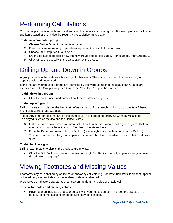# <span id="page-13-0"></span>Performing Calculations

You can apply formulas to items in a dimension to create a computed group. For example, you could sum two items together and divide the result by two to derive an average.

#### **To define a computed group:**

- 1. Choose Define Group from the Item menu.
- 2. Enter a unique name or group code to represent the result of the formula.
- 3. Choose the Computed Group type.
- 4. Enter a formula to describe how the new group is to be calculated. (For example, (item1+item2)/2.)
- 5. Click OK and proceed with the calculation of the group.

# <span id="page-13-1"></span>Drilling Up and Down in Groups

A group is an item that defines a hierarchy of other items. The name of an item that defines a group appears bold and underlined.

Items that are members of a group are identified by the word Member in the status bar. Groups are identified as Total Group, Computed Group, or Protected Group in the status bar.

#### **To drill down in a group:**

• Click the bold, underlined name of an item that defines a group.

#### **To drill up in a group:**

Drilling up means to display the item that defines a group. For example, drilling up on the item Alberta might display the group Canada.

Note: Any other groups that are on the same level in the group hierarchy as Canada will also be displayed, such as Mexico and the United States.

- 6. In the column or row dimension area, select an item that is a member of a group. (Items that are members of groups have the word Member in the status bar.)
- 7. From the Dimension menu, choose Drill Up (or else right-click the item and choose Drill Up). The item that defines the group appears. Its name is bold and underlined to show that it defines a group.

#### **To drill back in a group:**

Drilling back means to display the previous group view.

• Click the Drill Back arrow  $\leftarrow$  in a dimension tile. (A Drill Back arrow only appears after you have drilled down in a group.)

## <span id="page-13-2"></span>Viewing Footnotes and Missing Values

Footnotes may be identified by an indicator and/or by cell coloring. Footnote indicators, if present, appear coloured gray - in brackets - on the left-hand side of a table cell.

Missing value indicators appear colored gray on the right-hand side of a table cell.

#### **To view footnotes and missing values:**

• Hover over an indicator, or a colored cell, with your mouse cursor. The footnote appears in a popup. (In some cases, footnote popups may be disabled.)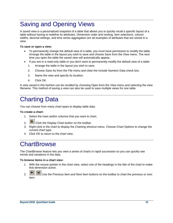# <span id="page-14-0"></span>Saving and Opening Views

A saved view is a personalized snapshot of a table that allows you to quickly recall a specific layout of a table without having to redefine its attributes. Dimension order and nesting, item selections, column widths, decimal settings, and time series aggregation are all examples of attributes that are stored in a view.

#### **To save or open a view:**

- To permanently change the default view of a table, you must have permission to modify the table. Arrange the table in the layout you wish to save and choose Save from the View menu. The next time you open the table the saved view will automatically appear.
- If you are in a read-only table or you don't want to permanently modify the default view of a table:
	- 1. Arrange the table in the layout you wish to save.
	- 2. Choose Save As from the File menu and clear the Include Numeric Data check box.
	- 3. Name the view and specify its location.
	- 4. Click OK.

A view saved in this fashion can be recalled by choosing Open from the View menu and selecting the view filename. This method of saving a view can also be used to save multiple views for one table.

# <span id="page-14-1"></span>Charting Data

You can choose from many chart types to display table data.

#### **To create a chart:**

- 1. Select the rows and/or columns that you want to chart.
- 2.  $\frac{d\mathbf{h}}{dt}$  Click the Display Chart button on the toolbar.
- 3. Right-click in the chart to display the Charting shortcut menu. Choose Chart Options to change the current chart type.
- 4. Click OK to return to the chart view.

### <span id="page-14-2"></span>**ChartBrowse**

The ChartBrowse feature lets you view a series of charts in rapid succession so you can quickly see trends and variations in the data.

#### **To browse items in a chart view:**

- 1. With the mouse pointer in the chart view, select one of the headings in the title of the chart to make that dimension active.
- 2.  $\boxed{\blacksquare}$  Use the Previous Item and Next Item buttons on the toolbar to chart the previous or next item.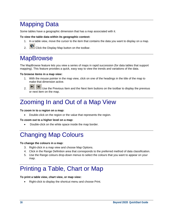## <span id="page-15-0"></span>Mapping Data

Some tables have a geographic dimension that has a map associated with it.

#### **To view the table data within its geographic context:**

- 1. In a table view, move the cursor to the item that contains the data you want to display on a map.
- 2.  $\bullet$  Click the Display Map button on the toolbar.

### <span id="page-15-1"></span>**MapBrowse**

The MapBrowse feature lets you view a series of maps in rapid succession (for data tables that support mapping). This feature provides a quick, easy way to view the trends and variations of the data.

#### **To browse items in a map view:**

- 1. With the mouse pointer in the map view, click on one of the headings in the title of the map to make that dimension active.
	-
- $2.$   $\boxed{\bigoplus}$   $\boxed{\rightarrow}$  Use the Previous Item and the Next Item buttons on the toolbar to display the previous or next item on the map.

## <span id="page-15-2"></span>Zooming In and Out of a Map View

#### **To zoom in to a region on a map:**

• Double-click on the region or the value that represents the region.

#### **To zoom out to a higher level on a map:**

• Double-click on the white space inside the map border.

## <span id="page-15-3"></span>Changing Map Colours

#### **To change the colours in a map:**

- 3. Right-click in a map view and choose Map Options.
- 4. Click in the Range Definition area that corresponds to the preferred method of data classification.
- 5. Use the Range colours drop-down menus to select the colours that you want to appear on your map.

# <span id="page-15-4"></span>Printing a Table, Chart or Map

#### **To print a table view, chart view, or map view:**

• Right-click to display the shortcut menu and choose Print.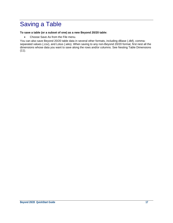# <span id="page-16-0"></span>Saving a Table

#### **To save a table (or a subset of one) as a new Beyond 20/20 table:**

• Choose Save As from the File menu.

You can also save Beyond 20/20 table data in several other formats, including dBase (.dbf), commaseparated values (.csv), and Lotus (.wks). When saving to any non-Beyond 20/20 format, first nest all the dimensions whose data you want to save along the rows and/or columns. See Nesting Table Dimensions  $(11).$  $(11).$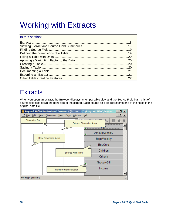# <span id="page-17-0"></span>Working with Extracts

In this section:

# <span id="page-17-1"></span>**Extracts**

When you open an extract, the Browser displays an empty table view and the Source Field bar - a list of source field tiles down the right side of the screen. Each source field tile represents one of the fields in the original data file.

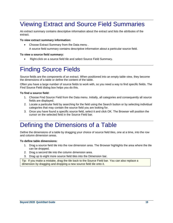### <span id="page-18-0"></span>Viewing Extract and Source Field Summaries

An extract summary contains descriptive information about the extract and lists the attributes of the extract.

#### **To view extract summary information:**

• Choose Extract Summary from the Data menu .

A source field summary contains descriptive information about a particular source field.

#### **To view a source field summary:**

• Right-click on a source field tile and select Source Field Summary.

### <span id="page-18-1"></span>Finding Source Fields

Source fields are the components of an extract. When positioned into an empty table view, they become the dimensions of a table or define the content of the table.

Often you have a large number of source fields to work with, so you need a way to find specific fields. The Find Source Field dialog box helps you do this.

#### **To find a source field:**

- 1. Choose Find Source Field from the Data menu. Initially, all categories and consequently all source fields are displayed.
- 2. Locate a particular field by searching for the field using the Search button or by selecting individual categories that may contain the source field you are looking for.
- 3. Once you have found a specific source field, select it and click OK. The Browser will position the cursor on the selected field in the Source Field bar.

### <span id="page-18-2"></span>Defining the Dimensions of a Table

Define the dimensions of a table by dragging your choice of source field tiles, one at a time, into the row and column dimension areas.

#### **To define table dimensions:**

- 1. Drag a source field tile into the row dimension area. The Browser highlights the area where the tile can be dropped.
- 2. Drag a second tile into the column dimension area.
- 3. Drag up to eight more source field tiles into the Dimension bar.

Tip: If you make a mistake, drag the tile back to the Source Field bar. You can also replace a dimension by dragging and dropping a new source field tile onto it.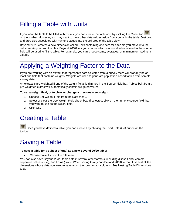# <span id="page-19-0"></span>Filling a Table with Units

8 If you want the table to be filled with counts, you can create the table now by clicking the Go button on the toolbar. However, you may want to have other data values aside from counts in the table. Just drag and drop tiles associated with numeric values into the cell area of the table view.

Beyond 20/20 creates a new dimension called Units containing one item for each tile you move into the cell area. As you drop the tiles, Beyond 20/20 lets you choose which statistical value related to the source field will be used to fill the table. For example, you can choose sums, averages, or minimum or maximum values.

# <span id="page-19-1"></span>Applying a Weighting Factor to the Data

If you are working with an extract that represents data collected from a survey there will probably be at least one field that contains weights. Weights are used to generate population-based tables from sample survey data.

An extract is pre-weighted if one of the weight fields is dimmed in the Source Field bar. Tables built from a pre-weighted extract will automatically contain weighted values.

**To set a weight field, or to clear or change a previously set weight:** 

- 1. Choose Set Weight Field from the Data menu.
- 2. Select or clear the Use Weight Field check box. If selected, click on the numeric source field that you want to use as the weight field.
- 3. Click OK.

### <span id="page-19-2"></span>Creating a Table

 Once you have defined a table, you can create it by clicking the Load Data (Go) button on the toolbar.

# <span id="page-19-3"></span>Saving a Table

#### **To save a table (or a subset of one) as a new Beyond 20/20 table:**

• Choose Save As from the File menu.

You can also save Beyond 20/20 table data in several other formats, including dBase (.dbf), commaseparated values (.csv), and Lotus (.wks). When saving to any non-Beyond 20/20 format, first nest all the dimensions whose data you want to save along the rows and/or columns. See Nesting Table Dimensions [\(11\)](#page-10-0).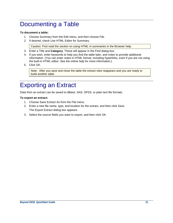# <span id="page-20-0"></span>Documenting a Table

#### **To document a table:**

- 1. Choose Summary from the Edit menu, and then choose File.
- 2. If desired, check Use HTML Editor for Summary.

Caution: First read the section on using HTML in summaries in the Browser help.

- 3. Enter a Title and **Category**. These will appear in the Find dialog box.
- 4. If you wish, enter keywords to help you find the table later, and notes to provide additional information. (You can enter notes in HTML format, including hyperlinks, even if you are not using the built-in HTML editor. See the online help for more information.)
- 5. Click OK.

Note: After you save and close the table the extract view reappears and you are ready to build another table.

### <span id="page-20-1"></span>Exporting an Extract

Data from an extract can be saved to dBase, SAS, SPSS, or plain text file formats.

#### **To export an extract:**

- 1. Choose Save Extract As from the File menu.
- 2. Enter a new file name, type, and location for the extract, and then click Save. The Export Extract dialog box appears.
- 3. Select the source fields you want to export, and then click OK.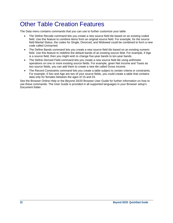### <span id="page-21-0"></span>Other Table Creation Features

The Data menu contains commands that you can use to further customize your table.

- The Define Recode command lets you create a new source field tile based on an existing coded field. Use this feature to combine items from an original source field. For example, for the source field Marital Status, the codes for Single, Divorced, and Widowed could be combined to form a new code called Unmarried.
- The Define Bands command lets you create a new source field tile based on an existing numeric field. Use this feature to redefine the default bands of an existing source field. For example, if Age is a source field, then you might wish to change five-year bands to ten-year bands.
- The Define Derived Field command lets you create a new source field tile using arithmetic operations on one or more existing source fields. For example, given Net Income and Taxes as two source fields, you can add them to create a new tile called Gross Income.
- The Record Constraints command lets you create a table subject to certain criteria or constraints. For example, if Sex and Age are two of your source fields, you could create a table that contains data only for females between the ages of 15 and 24.

See the Browser Online Help or the Beyond 20/20 Browser User Guide for further information on how to use these commands. The User Guide is provided in all supported languages in your Browser setup's Document folder.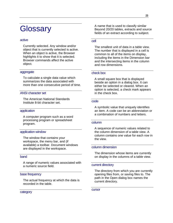# <span id="page-22-0"></span>**Glossary**

#### <span id="page-22-1"></span>active

Currently selected. Any window and/or object that is currently selected is active. When an object is active, the Browser highlights it to show that it is selected. Browser commands affect the active object.

#### <span id="page-22-2"></span>aggregate

To calculate a single data value which summarizes the data associated with more than one consecutive period of time.

#### <span id="page-22-3"></span>ANSI character set

The American National Standards Institute 8-bit character set.

#### <span id="page-22-4"></span>application

A computer program such as a word processing program or spreadsheet program.

#### <span id="page-22-5"></span>application window

The window that contains your workspace, the menu bar, and (if available) a toolbar. Document windows are displayed in the workspace.

#### <span id="page-22-6"></span>band

A range of numeric values associated with a numeric source field.

#### <span id="page-22-7"></span>base frequency

The actual frequency at which the data is recorded in the table.

<span id="page-22-8"></span>category

A name that is used to classify similar Beyond 20/20 tables, extracts and source fields of an extract according to subject.

#### <span id="page-22-9"></span>cell

The smallest unit of data in a table view. The number that is displayed in a cell is common to all of the items on display, including the items in the Dimension bar and the intersecting items in the column and row dimensions.

#### <span id="page-22-10"></span>check box

A small square box that is displayed beside an option in a dialog box. It can either be selected or cleared. When an option is selected, a check mark appears in the check box.

#### <span id="page-22-11"></span>code

A symbolic value that uniquely identifies an item. A code can be an abbreviation or a combination of numbers and letters.

#### <span id="page-22-12"></span>column

A sequence of numeric values related to the column dimension of a table view. A column contains one value for each row in the view.

#### <span id="page-22-13"></span>column dimension

The dimension whose items are currently on display in the columns of a table view.

#### <span id="page-22-14"></span>current directory

The directory from which you are currently opening files from, or saving files to. The path in the Open dialog box names the current directory.

<span id="page-22-15"></span>cursor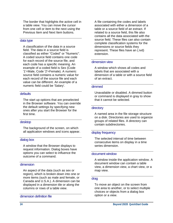The border that highlights the active cell in a table view. You can move the cursor from one cell or item to the next using the Previous Item and Next Item buttons.

#### <span id="page-23-0"></span>data type

A classification of the data in a source field. The data in a source field is classified as either "Coded" or "Numeric". A coded source field contains one code for each record of the source file, and each code has a specific meaning. An example of a coded field is Sex (Code '1'=Male, Code '2'=Female). A numeric source field contains a numeric value for each record of the source file and each value can be different. An example of a numeric field could be 'Salary'.

#### <span id="page-23-1"></span>defaults

The start up options that are preselected in the Browser software. You can override the default settings by specifying new ones after you start the Browser for the first time.

#### <span id="page-23-2"></span>desktop

The background of the screen, on which all application windows and icons appear.

#### <span id="page-23-3"></span>dialog box

A window that the Browser displays to request information. Dialog boxes have options you can select to influence the outcome of a command.

#### <span id="page-23-4"></span>dimension

An aspect of the data (such as sex or region), which is broken down into one or more items (such as male and female, or Canada and U.S.A.). A dimension can be displayed in a dimension tile or along the columns or rows of a table view.

#### <span id="page-23-5"></span>dimension definition file

A file containing the codes and labels associated with either a dimension of a table or a source field of an extract. If related to a source field, this file also contains all the data associated with the source field. These files can also contain complete classification systems for the dimensions or source fields they represent. These files have an (.ivd) extension.

#### <span id="page-23-6"></span>dimension view

A window which shows all codes and labels that are associated with a dimension of a table or with a source field of an extract.

#### <span id="page-23-7"></span>dimmed

Unavailable or disabled. A dimmed button or command is displayed in gray to show that it cannot be selected.

#### <span id="page-23-8"></span>directory

A named area in the file storage structure on a disk. Directories are used to organize groups of related files. A directory can contain subdirectories.

#### <span id="page-23-9"></span>display frequency

The selected interval of time between consecutive items on display in a time series dimension.

#### <span id="page-23-10"></span>document window

A window inside the application window. A document window can contain a table view, a dimension view, a chart view, or a map view.

#### <span id="page-23-11"></span>drag

To move an object on the screen from one area to another, or to select multiple choices or objects from a dialog box option or a view.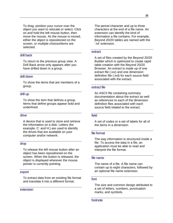To drag, position your cursor over the object you want to relocate or select. Click on and hold the left mouse button, then move the mouse. As the mouse is moved, either the object is repositioned on the screen, or multiple choices/items are selected.

#### <span id="page-24-0"></span>drill back

To return to the previous group view. A Drill Back arrow only appears after you have drilled down in a group.

#### <span id="page-24-1"></span>drill down

To show the items that are members of a group.

#### <span id="page-24-2"></span>drill up

To show the item that defines a group. Items that define groups appear bold and underlined.

#### <span id="page-24-3"></span>drive

A device that is used to store and retrieve the information on a disk. Letters (for example, C: and H:) are used to identify the drives that are available on your computer and/or network.

#### <span id="page-24-4"></span>drop

To release the left mouse button after an object has been repositioned on the screen. When the button is released, the object is displayed wherever the mouse pointer is currently pointing.

#### <span id="page-24-5"></span>export

To extract data from an existing file format and translate it into a different format.

<span id="page-24-6"></span>extension

The period character and up to three characters at the end of a file name. An extension can identify the kind of information a file contains. For example, Beyond 20/20 tables are named with the '.ivt' extension.

#### <span id="page-24-7"></span>extract

A set of files created by the Beyond 20/20 Builder which is optimized to create rapid table creation with the Beyond 20/20 Browser. An extract is made up of one extract file (.ivx) and one dimension definition file (.ivd) for each source field associated with the extract.

#### <span id="page-24-8"></span>extract file

An ASCII file containing summary documentation about the extract as well as references to each of the dimension definition files associated with each source field related to the extract.

#### <span id="page-24-9"></span>field

A set of codes or a set of labels for all of the items in a dimension.

#### <span id="page-24-10"></span>file format

The way information is structured inside a file. To access the data in a file, an application must be able to read and interpret the file format.

#### <span id="page-24-11"></span>file name

The name of a file. A file name can contain up to eight characters, followed by an optional file name extension.

#### <span id="page-24-12"></span>font

The size and common design attributed to a set of letters, numbers, punctuation marks, and symbols.

<span id="page-24-13"></span>footnote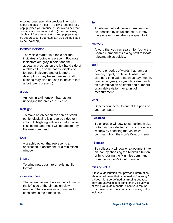A textual description that provides information about the data in a cell. To view a footnote as a popup, place your mouse cursor over a cell that contains a footnote indicator. (In some cases, display of footnote indicators and popups may be suppressed. Footnotes can also be indicated by cell coloring.)

#### <span id="page-25-0"></span>footnote indicator

The visible marker in a table cell that indicates a footnote is present. Footnote indicators are gray in color and they appear in brackets on the left-hand side of a table cell. (In some cases, display of footnote indicators and/or footnote descriptions may be suppressed. Cell coloring may also be used to indicate that a footnote is present.)

#### <span id="page-25-1"></span>group

An item in a dimension that has an underlying hierarchical structure.

#### <span id="page-25-2"></span>highlight

To make an object on the screen stand out by displaying it in reverse video or in color. Highlighting indicates that an object is selected, and that it will be affected by the next command.

#### <span id="page-25-3"></span>icon

A graphic object that represents an application, a document, or a minimized window.

#### <span id="page-25-4"></span>import

To bring new data into an existing file format.

#### <span id="page-25-5"></span>index numbers

The sequential numbers in the column on the left side of the dimension view window. There is one index number for each item in the dimension.

#### <span id="page-25-6"></span>item

An element of a dimension. An item can be identified by its unique code. It may have one or more labels assigned to it.

#### <span id="page-25-7"></span>keyword

A word that you can search for (using the Search Components dialog box) to locate relevant tables quickly.

#### <span id="page-25-8"></span>label

A word or series of words that name a person, object, or place. A label could also be a time value (such as day, month, quarter, or year), a symbolic value (such as a combination of letters and numbers, or an abbreviation), or a unit of measurement.

#### <span id="page-25-9"></span>local

Directly connected to one of the ports on your computer.

#### <span id="page-25-10"></span>maximize

To enlarge a window to its maximum size, or to turn the selected icon into the active window by choosing the Maximize command from the icon's Control menu.

#### <span id="page-25-11"></span>minimize

To collapse a window or a document into an icon by choosing the Minimize button, or by choosing the Minimize command from the window's Control menu.

#### <span id="page-25-12"></span>missing value

A textual description that provides information about a cell value that is defined as "missing." Values might be defined as missing because they are unavailable or confidential. To view a missing value as a popup, place your mouse cursor over a cell that contains a missing value indicator.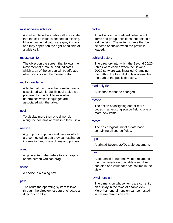#### <span id="page-26-0"></span>missing value indicator

A marker placed in a table cell to indicate that the cell's value is defined as missing. Missing value indicators are gray in color and they appear on the right-hand side of a table cell.

#### <span id="page-26-1"></span>mouse pointer

The object on the screen that follows the movement of a mouse and indicates which area of the screen will be affected when you click on the mouse button.

#### <span id="page-26-2"></span>multilingual table

A table that has more than one language associated with it. Multilingual tables are prepared by the Builder user who determines which languages are associated with the table.

#### <span id="page-26-3"></span>nest

To display more than one dimension along the columns or rows in a table view.

#### <span id="page-26-4"></span>network

A group of computers and devices which are connected so that they can exchange information and share drives and printers.

#### <span id="page-26-5"></span>object

A general term that refers to any graphic on the screen you can drag.

#### <span id="page-26-6"></span>option

A choice in a dialog box.

#### <span id="page-26-7"></span>path

The route the operating system follows through the directory structure to locate a directory or a file.

#### <span id="page-26-8"></span>profile

A profile is a user-defined collection of items and group definitions that belong to a dimension. These items can either be selected or shown when the profile is loaded.

#### <span id="page-26-9"></span>public directory

The directory into which the Beyond 20/20 tables were copied when the Beyond 20/20 software was installed. Changing the path in the Find dialog box overwrites the path to the public directory.

#### <span id="page-26-10"></span>read-only file

A file that cannot be changed.

#### <span id="page-26-11"></span>recode

The action of assigning one or more codes in an existing source field to one or more new items.

#### <span id="page-26-12"></span>record

The basic logical unit of a data base containing all source fields.

#### <span id="page-26-13"></span>report

A printed Beyond 20/20 table document.

#### <span id="page-26-14"></span>row

A sequence of numeric values related to the row dimension of a table view. A row contains one value for each column in the view.

#### <span id="page-26-15"></span>row dimension

The dimension whose items are currently on display in the rows of a table view. More than one dimension can be nested in the row dimension area.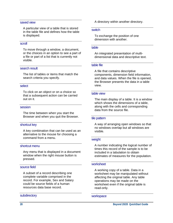#### <span id="page-27-0"></span>saved view

A particular view of a table that is stored in the table file and defines how the table is displayed.

#### <span id="page-27-1"></span>scroll

To move through a window, a document, or the choices in an option to see a part of a file or part of a list that is currently not visible.

#### <span id="page-27-2"></span>search result

The list of tables or items that match the search criteria you specify.

#### <span id="page-27-3"></span>select

To click on an object or on a choice so that a subsequent action can be carried out on it.

#### <span id="page-27-4"></span>session

The time between when you start the Browser and when you quit the Browser.

#### <span id="page-27-5"></span>shortcut key

A key combination that can be used as an alternative to the mouse for choosing a command from a menu.

#### <span id="page-27-6"></span>shortcut menu

Any menu that is displayed in a document window when the right mouse button is pressed.

#### <span id="page-27-7"></span>source field

A subset of a record describing one complete variable comprised in the record. For example, Sex and Salary could be source fields of a human resources data base record.

#### <span id="page-27-8"></span>**subdirectory**

A directory within another directory.

#### <span id="page-27-9"></span>**switch**

To exchange the position of one dimension with another.

#### <span id="page-27-10"></span>table

An integrated presentation of multidimensional data and descriptive text.

#### <span id="page-27-11"></span>table file

A file that contains descriptive components, dimension field information, and data values. When the file is opened, the Browser presents the data in a table view.

#### <span id="page-27-12"></span>table view

The main display of a table. It is a window which shows the dimensions of a table, along with the cells and corresponding data from the source file.

#### <span id="page-27-13"></span>tile pattern

A way of arranging open windows so that no windows overlap but all windows are visible.

#### <span id="page-27-14"></span>weight

A number indicating the logical number of times this record of the sample is to be included in a tabulation to obtain estimates of measures for the population.

#### <span id="page-27-15"></span>worksheet

A working copy of a table. Data in a worksheet may be manipulated without affecting the original table. Any table operations may be made on the worksheet even if the original table is read-only.

<span id="page-27-16"></span>workspace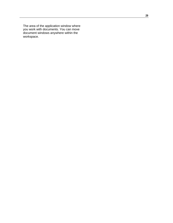The area of the application window where you work with documents. You can move document windows anywhere within the workspace.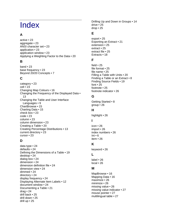# <span id="page-29-0"></span>Index

### **A**

active • 23 aggregate • 23 ANSI character set • 23 application • 23 application window • 23 Applying a Weighting Factor to the Data • 20

### **B**

band • 23 base frequency • 23 Beyond 20/20 Concepts • 7

### **C**

category • 23 cell • 23 Changing Map Colours • 16 Changing the Frequency of the Displayed Data • 13 Changing the Table and User Interface Languages • 9 ChartBrowse • 15 Charting Data • 15 check box • 23 code • 23 column • 23 column dimension • 23 Creating a Table • 20 Creating Percentage Distributions • 13 current directory • 23 cursor • 23

### **D**

data type • 24 defaults • 24 Defining the Dimensions of a Table • 19 desktop • 24 dialog box • 24 dimension • 24 dimension definition file • 24 dimension view • 24 dimmed • 24 directory • 24 display frequency • 24 Displaying Alternate Item Labels • 12 document window • 24 Documenting a Table • 21 drag • 24 drill back • 25 drill down • 25 drill up • 25

Drilling Up and Down in Groups • 14 drive • 25 drop • 25

### **E**

export • 25 Exporting an Extract • 21 extension • 25 extract • 25 extract file • 25 Extracts • 18

### **F**

field • 25 file format • 25 file name • 25 Filling a Table with Units • 20 Finding a Table or an Extract • 8 Finding Source Fields • 19 font • 25 footnote • 25 footnote indicator • 26

### **G**

Getting Started • 8 group • 26

### **H**

highlight • 26

### **I**

icon • 26 import • 26 index numbers • 26 Int • 6 item • 26

### **K**

keyword • 26

### **L**

label • 26 local • 26

### **M**

MapBrowse • 16 Mapping Data • 16 maximize • 26 minimize • 26 missing value • 26 missing value indicator • 27 mouse pointer • 27 multilingual table • 27